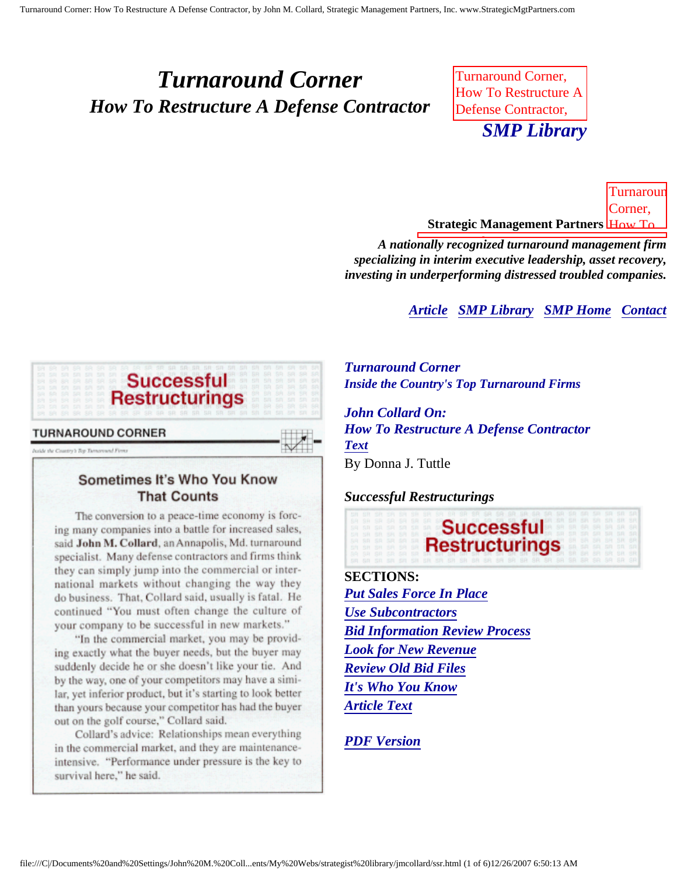# <span id="page-0-4"></span><span id="page-0-3"></span>*Turnaround Corner How To Restructure A Defense Contractor*

Turnaround Corner, How To Restructure A Defense Contractor, *SMP Library*  $\sum_{i=1}^{n}$ 

<u>Strategic Management Partners <mark>How To-</mark></u> **Turnarour** Corner,

A nationally recognized turnaround management firm A Defense Contractor, about John M. *specializing in interim executive leadership, asset recovery, investing in underperforming distressed troubled companies.* 

**[Article](#page-0-0) [SMP Library](http://members.aol.com/stratlib3/libindx.html) [SMP Home](http://members.aol.com/strategist/home.html#TOP) [Contact](#page-5-0)** 

<span id="page-0-0"></span>

Juside the Country's Top Turnsyound Firms

## Sometimes It's Who You Know **That Counts**

<span id="page-0-2"></span>The conversion to a peace-time economy is forcing many companies into a battle for increased sales, said John M. Collard, an Annapolis, Md. turnaround specialist. Many defense contractors and firms think they can simply jump into the commercial or international markets without changing the way they do business. That, Collard said, usually is fatal. He continued "You must often change the culture of your company to be successful in new markets."

"In the commercial market, you may be providing exactly what the buyer needs, but the buyer may suddenly decide he or she doesn't like your tie. And by the way, one of your competitors may have a similar, yet inferior product, but it's starting to look better than yours because your competitor has had the buyer out on the golf course," Collard said.

<span id="page-0-1"></span>Collard's advice: Relationships mean everything in the commercial market, and they are maintenanceintensive. "Performance under pressure is the key to survival here," he said.

*Turnaround Corner Inside the Country's Top Turnaround Firms*

*John Collard On: How To Restructure A Defense Contractor [Text](#page-0-1)* By Donna J. Tuttle

#### *Successful Restructurings*



**SECTIONS:** *[Put Sales Force In Place](#page-2-0) [Use Subcontractors](#page-2-1) [Bid Information Review Process](#page-3-0) [Look for New Revenue](#page-3-1) [Review Old Bid Files](#page-3-2) [It's Who You Know](#page-3-3) [Article Text](#page-0-1)*

*[PDF Version](http://members.aol.com/stratlib3/srdefcon.pdf)*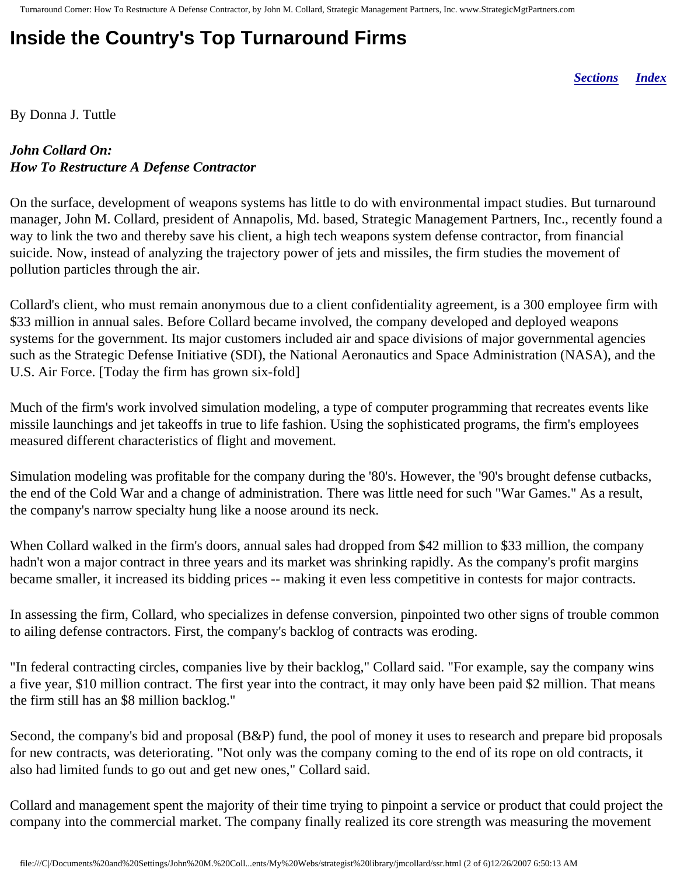# **Inside the Country's Top Turnaround Firms**

*[Sections](#page-0-2) [Index](#page-0-3)*

By Donna J. Tuttle

## *John Collard On: How To Restructure A Defense Contractor*

On the surface, development of weapons systems has little to do with environmental impact studies. But turnaround manager, John M. Collard, president of Annapolis, Md. based, Strategic Management Partners, Inc., recently found a way to link the two and thereby save his client, a high tech weapons system defense contractor, from financial suicide. Now, instead of analyzing the trajectory power of jets and missiles, the firm studies the movement of pollution particles through the air.

Collard's client, who must remain anonymous due to a client confidentiality agreement, is a 300 employee firm with \$33 million in annual sales. Before Collard became involved, the company developed and deployed weapons systems for the government. Its major customers included air and space divisions of major governmental agencies such as the Strategic Defense Initiative (SDI), the National Aeronautics and Space Administration (NASA), and the U.S. Air Force. [Today the firm has grown six-fold]

Much of the firm's work involved simulation modeling, a type of computer programming that recreates events like missile launchings and jet takeoffs in true to life fashion. Using the sophisticated programs, the firm's employees measured different characteristics of flight and movement.

Simulation modeling was profitable for the company during the '80's. However, the '90's brought defense cutbacks, the end of the Cold War and a change of administration. There was little need for such "War Games." As a result, the company's narrow specialty hung like a noose around its neck.

When Collard walked in the firm's doors, annual sales had dropped from \$42 million to \$33 million, the company hadn't won a major contract in three years and its market was shrinking rapidly. As the company's profit margins became smaller, it increased its bidding prices -- making it even less competitive in contests for major contracts.

In assessing the firm, Collard, who specializes in defense conversion, pinpointed two other signs of trouble common to ailing defense contractors. First, the company's backlog of contracts was eroding.

"In federal contracting circles, companies live by their backlog," Collard said. "For example, say the company wins a five year, \$10 million contract. The first year into the contract, it may only have been paid \$2 million. That means the firm still has an \$8 million backlog."

Second, the company's bid and proposal (B&P) fund, the pool of money it uses to research and prepare bid proposals for new contracts, was deteriorating. "Not only was the company coming to the end of its rope on old contracts, it also had limited funds to go out and get new ones," Collard said.

Collard and management spent the majority of their time trying to pinpoint a service or product that could project the company into the commercial market. The company finally realized its core strength was measuring the movement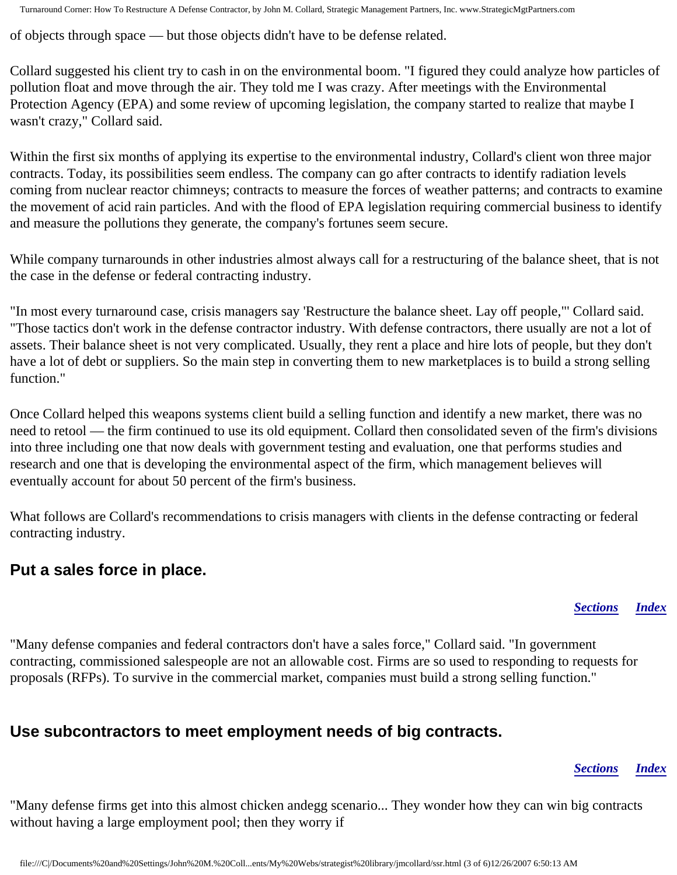Turnaround Corner: How To Restructure A Defense Contractor, by John M. Collard, Strategic Management Partners, Inc. www.StrategicMgtPartners.com

of objects through space — but those objects didn't have to be defense related.

Collard suggested his client try to cash in on the environmental boom. "I figured they could analyze how particles of pollution float and move through the air. They told me I was crazy. After meetings with the Environmental Protection Agency (EPA) and some review of upcoming legislation, the company started to realize that maybe I wasn't crazy," Collard said.

Within the first six months of applying its expertise to the environmental industry, Collard's client won three major contracts. Today, its possibilities seem endless. The company can go after contracts to identify radiation levels coming from nuclear reactor chimneys; contracts to measure the forces of weather patterns; and contracts to examine the movement of acid rain particles. And with the flood of EPA legislation requiring commercial business to identify and measure the pollutions they generate, the company's fortunes seem secure.

While company turnarounds in other industries almost always call for a restructuring of the balance sheet, that is not the case in the defense or federal contracting industry.

"In most every turnaround case, crisis managers say 'Restructure the balance sheet. Lay off people,"' Collard said. "Those tactics don't work in the defense contractor industry. With defense contractors, there usually are not a lot of assets. Their balance sheet is not very complicated. Usually, they rent a place and hire lots of people, but they don't have a lot of debt or suppliers. So the main step in converting them to new marketplaces is to build a strong selling function."

Once Collard helped this weapons systems client build a selling function and identify a new market, there was no need to retool — the firm continued to use its old equipment. Collard then consolidated seven of the firm's divisions into three including one that now deals with government testing and evaluation, one that performs studies and research and one that is developing the environmental aspect of the firm, which management believes will eventually account for about 50 percent of the firm's business.

What follows are Collard's recommendations to crisis managers with clients in the defense contracting or federal contracting industry.

# <span id="page-2-0"></span>**Put a sales force in place.**

*[Sections](#page-0-2) [Index](#page-0-3)*

"Many defense companies and federal contractors don't have a sales force," Collard said. "In government contracting, commissioned salespeople are not an allowable cost. Firms are so used to responding to requests for proposals (RFPs). To survive in the commercial market, companies must build a strong selling function."

# <span id="page-2-1"></span>**Use subcontractors to meet employment needs of big contracts.**

### *[Sections](#page-0-2) [Index](#page-0-3)*

"Many defense firms get into this almost chicken andegg scenario... They wonder how they can win big contracts without having a large employment pool; then they worry if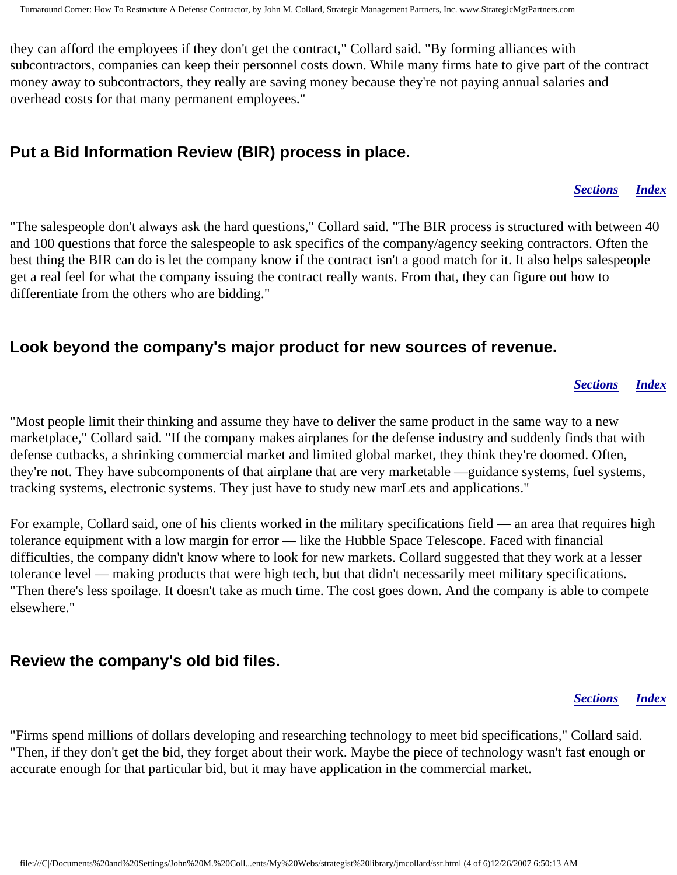they can afford the employees if they don't get the contract," Collard said. "By forming alliances with subcontractors, companies can keep their personnel costs down. While many firms hate to give part of the contract money away to subcontractors, they really are saving money because they're not paying annual salaries and overhead costs for that many permanent employees."

# <span id="page-3-0"></span>**Put a Bid Information Review (BIR) process in place.**

#### *[Sections](#page-0-2) [Index](#page-0-3)*

"The salespeople don't always ask the hard questions," Collard said. "The BIR process is structured with between 40 and 100 questions that force the salespeople to ask specifics of the company/agency seeking contractors. Often the best thing the BIR can do is let the company know if the contract isn't a good match for it. It also helps salespeople get a real feel for what the company issuing the contract really wants. From that, they can figure out how to differentiate from the others who are bidding."

## <span id="page-3-1"></span>**Look beyond the company's major product for new sources of revenue.**

#### *[Sections](#page-0-2) [Index](#page-0-3)*

"Most people limit their thinking and assume they have to deliver the same product in the same way to a new marketplace," Collard said. "If the company makes airplanes for the defense industry and suddenly finds that with defense cutbacks, a shrinking commercial market and limited global market, they think they're doomed. Often, they're not. They have subcomponents of that airplane that are very marketable —guidance systems, fuel systems, tracking systems, electronic systems. They just have to study new marLets and applications."

For example, Collard said, one of his clients worked in the military specifications field — an area that requires high tolerance equipment with a low margin for error — like the Hubble Space Telescope. Faced with financial difficulties, the company didn't know where to look for new markets. Collard suggested that they work at a lesser tolerance level — making products that were high tech, but that didn't necessarily meet military specifications. "Then there's less spoilage. It doesn't take as much time. The cost goes down. And the company is able to compete elsewhere."

## <span id="page-3-2"></span>**Review the company's old bid files.**

#### *[Sections](#page-0-2) [Index](#page-0-3)*

<span id="page-3-3"></span>"Firms spend millions of dollars developing and researching technology to meet bid specifications," Collard said. "Then, if they don't get the bid, they forget about their work. Maybe the piece of technology wasn't fast enough or accurate enough for that particular bid, but it may have application in the commercial market.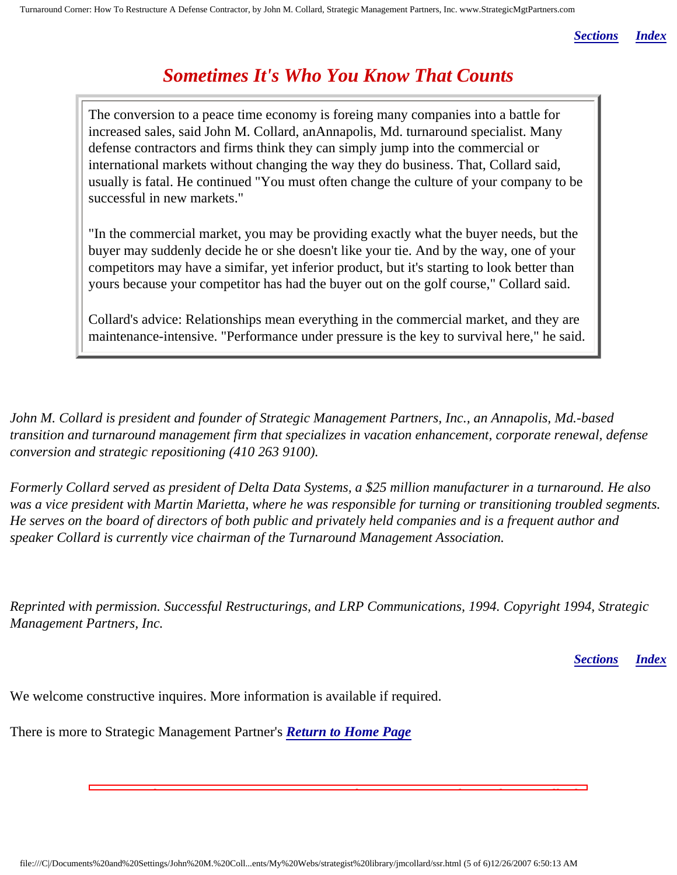*[Sections](#page-0-2) [Index](#page-0-3)*

# *Sometimes It's Who You Know That Counts*

The conversion to a peace time economy is foreing many companies into a battle for increased sales, said John M. Collard, anAnnapolis, Md. turnaround specialist. Many defense contractors and firms think they can simply jump into the commercial or international markets without changing the way they do business. That, Collard said, usually is fatal. He continued "You must often change the culture of your company to be successful in new markets."

"In the commercial market, you may be providing exactly what the buyer needs, but the buyer may suddenly decide he or she doesn't like your tie. And by the way, one of your competitors may have a simifar, yet inferior product, but it's starting to look better than yours because your competitor has had the buyer out on the golf course," Collard said.

Collard's advice: Relationships mean everything in the commercial market, and they are maintenance-intensive. "Performance under pressure is the key to survival here," he said.

*John M. Collard is president and founder of Strategic Management Partners, Inc., an Annapolis, Md.-based transition and turnaround management firm that specializes in vacation enhancement, corporate renewal, defense conversion and strategic repositioning (410 263 9100).*

*Formerly Collard served as president of Delta Data Systems, a \$25 million manufacturer in a turnaround. He also was a vice president with Martin Marietta, where he was responsible for turning or transitioning troubled segments. He serves on the board of directors of both public and privately held companies and is a frequent author and speaker Collard is currently vice chairman of the Turnaround Management Association.*

*Reprinted with permission. Successful Restructurings, and LRP Communications, 1994. Copyright 1994, Strategic Management Partners, Inc.*

Turnaround Corner, How To Restructure A Defense Contractor, about John M. Collard,

*[Sections](#page-0-2) [Index](#page-0-3)*

We welcome constructive inquires. More information is available if required.

There is more to Strategic Management Partner's *[Return to Home Page](http://members.aol.com/strategist/home.html#TOP)*